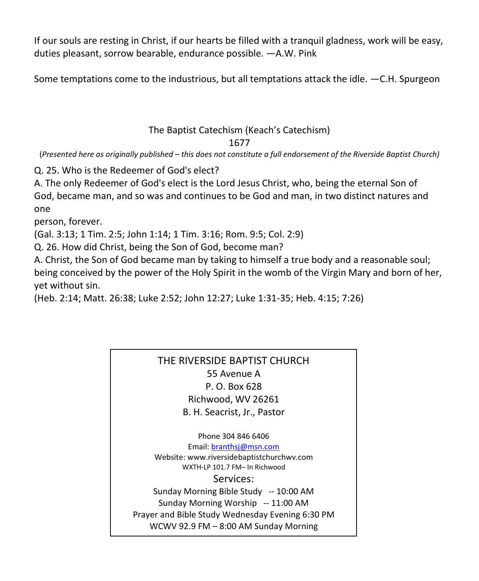If our souls are resting in Christ, if our hearts be filled with a tranquil gladness, work will be easy, duties pleasant, sorrow bearable, endurance possible. —A.W. Pink

Some temptations come to the industrious, but all temptations attack the idle. —C.H. Spurgeon

## The Baptist Catechism (Keach's Catechism)

1677

(*Presented here as originally published – this does not constitute a full endorsement of the Riverside Baptist Church)*

Q. 25. Who is the Redeemer of God's elect?

A. The only Redeemer of God's elect is the Lord Jesus Christ, who, being the eternal Son of God, became man, and so was and continues to be God and man, in two distinct natures and one

person, forever.

(Gal. 3:13; 1 Tim. 2:5; John 1:14; 1 Tim. 3:16; Rom. 9:5; Col. 2:9)

Q. 26. How did Christ, being the Son of God, become man?

A. Christ, the Son of God became man by taking to himself a true body and a reasonable soul; being conceived by the power of the Holy Spirit in the womb of the Virgin Mary and born of her, yet without sin.

(Heb. 2:14; Matt. 26:38; Luke 2:52; John 12:27; Luke 1:31-35; Heb. 4:15; 7:26)

## THE RIVERSIDE BAPTIST CHURCH 55 Avenue A P. O. Box 628 Richwood, WV 26261 B. H. Seacrist, Jr., Pastor

Phone 304 846 6406 Email[: branthsj@msn.com](mailto:branthsj@msn.com) Website: www.riversidebaptistchurchwv.com WXTH-LP 101.7 FM– In Richwood Services: Sunday Morning Bible Study -- 10:00 AM Sunday Morning Worship -- 11:00 AM Prayer and Bible Study Wednesday Evening 6:30 PM WCWV 92.9 FM – 8:00 AM Sunday Morning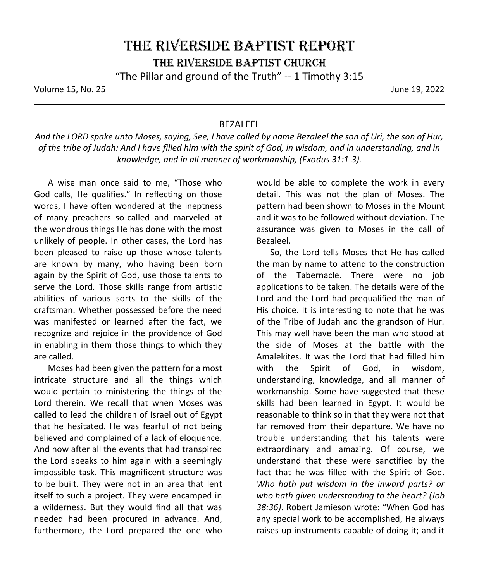Volume 15, No. 25 June 19, 2022

---------------------------------------------------------------------------------------------------------------------------------------------

## BEZALEEL

*And the LORD spake unto Moses, saying, See, I have called by name Bezaleel the son of Uri, the son of Hur, of the tribe of Judah: And I have filled him with the spirit of God, in wisdom, and in understanding, and in knowledge, and in all manner of workmanship, (Exodus 31:1-3).*

A wise man once said to me, "Those who God calls, He qualifies." In reflecting on those words, I have often wondered at the ineptness of many preachers so-called and marveled at the wondrous things He has done with the most unlikely of people. In other cases, the Lord has been pleased to raise up those whose talents are known by many, who having been born again by the Spirit of God, use those talents to serve the Lord. Those skills range from artistic abilities of various sorts to the skills of the craftsman. Whether possessed before the need was manifested or learned after the fact, we recognize and rejoice in the providence of God in enabling in them those things to which they are called.

Moses had been given the pattern for a most intricate structure and all the things which would pertain to ministering the things of the Lord therein. We recall that when Moses was called to lead the children of Israel out of Egypt that he hesitated. He was fearful of not being believed and complained of a lack of eloquence. And now after all the events that had transpired the Lord speaks to him again with a seemingly impossible task. This magnificent structure was to be built. They were not in an area that lent itself to such a project. They were encamped in a wilderness. But they would find all that was needed had been procured in advance. And, furthermore, the Lord prepared the one who

would be able to complete the work in every detail. This was not the plan of Moses. The pattern had been shown to Moses in the Mount and it was to be followed without deviation. The assurance was given to Moses in the call of Bezaleel.

So, the Lord tells Moses that He has called the man by name to attend to the construction of the Tabernacle. There were no job applications to be taken. The details were of the Lord and the Lord had prequalified the man of His choice. It is interesting to note that he was of the Tribe of Judah and the grandson of Hur. This may well have been the man who stood at the side of Moses at the battle with the Amalekites. It was the Lord that had filled him with the Spirit of God, in wisdom, understanding, knowledge, and all manner of workmanship. Some have suggested that these skills had been learned in Egypt. It would be reasonable to think so in that they were not that far removed from their departure. We have no trouble understanding that his talents were extraordinary and amazing. Of course, we understand that these were sanctified by the fact that he was filled with the Spirit of God. *Who hath put wisdom in the inward parts? or who hath given understanding to the heart? (Job 38:36)*. Robert Jamieson wrote: "When God has any special work to be accomplished, He always raises up instruments capable of doing it; and it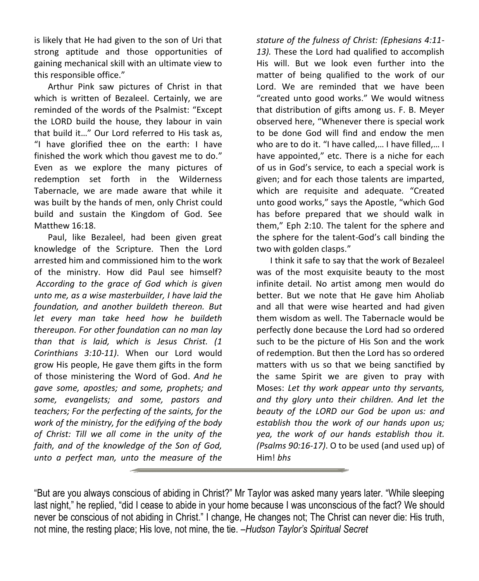is likely that He had given to the son of Uri that strong aptitude and those opportunities of gaining mechanical skill with an ultimate view to this responsible office."

Arthur Pink saw pictures of Christ in that which is written of Bezaleel. Certainly, we are reminded of the words of the Psalmist: "Except the LORD build the house, they labour in vain that build it…" Our Lord referred to His task as, "I have glorified thee on the earth: I have finished the work which thou gavest me to do." Even as we explore the many pictures of redemption set forth in the Wilderness Tabernacle, we are made aware that while it was built by the hands of men, only Christ could build and sustain the Kingdom of God. See Matthew 16:18.

Paul, like Bezaleel, had been given great knowledge of the Scripture. Then the Lord arrested him and commissioned him to the work of the ministry. How did Paul see himself? *According to the grace of God which is given unto me, as a wise masterbuilder, I have laid the foundation, and another buildeth thereon. But let every man take heed how he buildeth thereupon. For other foundation can no man lay than that is laid, which is Jesus Christ. (1 Corinthians 3:10-11)*. When our Lord would grow His people, He gave them gifts in the form of those ministering the Word of God. *And he gave some, apostles; and some, prophets; and some, evangelists; and some, pastors and teachers; For the perfecting of the saints, for the work of the ministry, for the edifying of the body of Christ: Till we all come in the unity of the faith, and of the knowledge of the Son of God, unto a perfect man, unto the measure of the* 

*stature of the fulness of Christ: (Ephesians 4:11- 13).* These the Lord had qualified to accomplish His will. But we look even further into the matter of being qualified to the work of our Lord. We are reminded that we have been "created unto good works." We would witness that distribution of gifts among us. F. B. Meyer observed here, "Whenever there is special work to be done God will find and endow the men who are to do it. "I have called,… I have filled,… I have appointed," etc. There is a niche for each of us in God's service, to each a special work is given; and for each those talents are imparted, which are requisite and adequate. "Created unto good works," says the Apostle, "which God has before prepared that we should walk in them," Eph 2:10. The talent for the sphere and the sphere for the talent-God's call binding the two with golden clasps."

I think it safe to say that the work of Bezaleel was of the most exquisite beauty to the most infinite detail. No artist among men would do better. But we note that He gave him Aholiab and all that were wise hearted and had given them wisdom as well. The Tabernacle would be perfectly done because the Lord had so ordered such to be the picture of His Son and the work of redemption. But then the Lord has so ordered matters with us so that we being sanctified by the same Spirit we are given to pray with Moses: *Let thy work appear unto thy servants, and thy glory unto their children. And let the beauty of the LORD our God be upon us: and establish thou the work of our hands upon us; yea, the work of our hands establish thou it. (Psalms 90:16-17)*. O to be used (and used up) of Him! *bhs*

<sup>&</sup>quot;But are you always conscious of abiding in Christ?" Mr Taylor was asked many years later. "While sleeping last night," he replied, "did I cease to abide in your home because I was unconscious of the fact? We should never be conscious of not abiding in Christ." I change, He changes not; The Christ can never die: His truth, not mine, the resting place; His love, not mine, the tie. –*Hudson Taylor's Spiritual Secret*